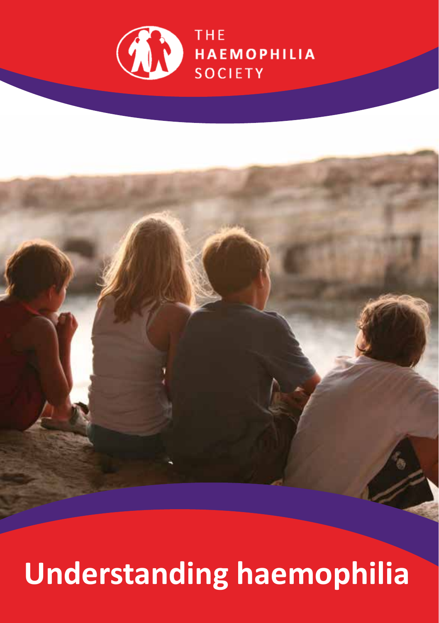

# **Understanding haemophilia**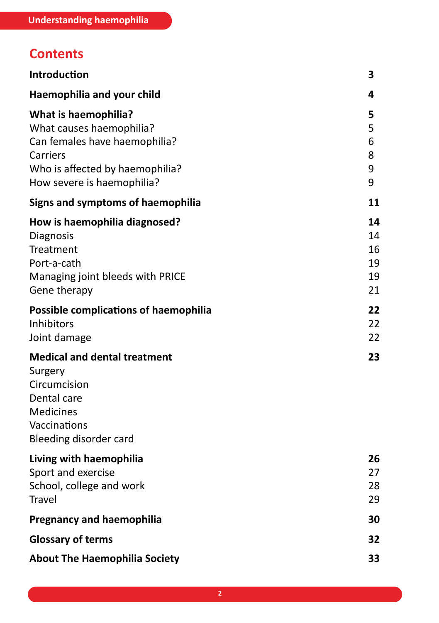## **Contents**

| Introduction                                                                                                                                                          | 3                                |
|-----------------------------------------------------------------------------------------------------------------------------------------------------------------------|----------------------------------|
| Haemophilia and your child                                                                                                                                            | 4                                |
| <b>What is haemophilia?</b><br>What causes haemophilia?<br>Can females have haemophilia?<br>Carriers<br>Who is affected by haemophilia?<br>How severe is haemophilia? | 5<br>5<br>6<br>8<br>9<br>9       |
| Signs and symptoms of haemophilia                                                                                                                                     | 11                               |
| How is haemophilia diagnosed?<br>Diagnosis<br>Treatment<br>Port-a-cath<br>Managing joint bleeds with PRICE<br>Gene therapy                                            | 14<br>14<br>16<br>19<br>19<br>21 |
| <b>Possible complications of haemophilia</b><br>Inhibitors<br>Joint damage                                                                                            | 22<br>22<br>22                   |
| <b>Medical and dental treatment</b><br>Surgery<br>Circumcision<br>Dental care<br><b>Medicines</b><br>Vaccinations<br>Bleeding disorder card                           | 23                               |
| Living with haemophilia<br>Sport and exercise<br>School, college and work<br>Travel                                                                                   | 26<br>27<br>28<br>29             |
| <b>Pregnancy and haemophilia</b>                                                                                                                                      | 30                               |
| <b>Glossary of terms</b>                                                                                                                                              | 32                               |
| <b>About The Haemophilia Society</b>                                                                                                                                  | 33                               |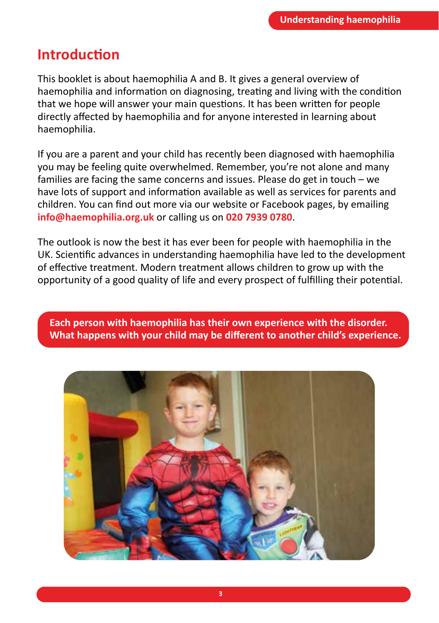## **Introduction**

This booklet is about haemophilia A and B. It gives a general overview of haemophilia and information on diagnosing, treating and living with the condition that we hope will answer your main questions. It has been written for people directly affected by haemophilia and for anyone interested in learning about haemophilia.

If you are a parent and your child has recently been diagnosed with haemophilia you may be feeling quite overwhelmed. Remember, you're not alone and many families are facing the same concerns and issues. Please do get in touch – we have lots of support and information available as well as services for parents and children. You can find out more via our website or Facebook pages, by emailing **info@haemophilia.org.uk** or calling us on **020 7939 0780**.

The outlook is now the best it has ever been for people with haemophilia in the UK. Scientific advances in understanding haemophilia have led to the development of effective treatment. Modern treatment allows children to grow up with the opportunity of a good quality of life and every prospect of fulfilling their potential.

**Each person with haemophilia has their own experience with the disorder. What happens with your child may be different to another child's experience.**

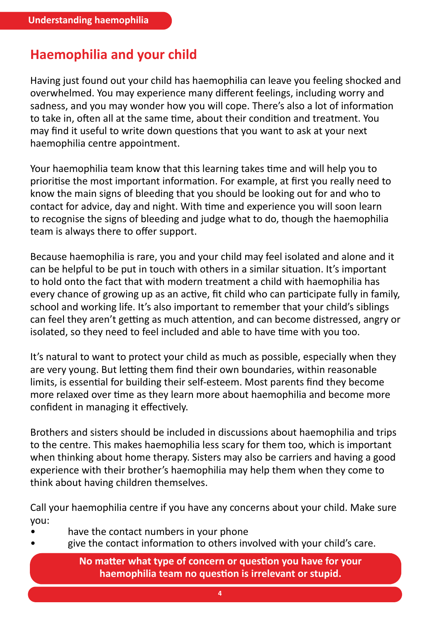## **Haemophilia and your child**

Having just found out your child has haemophilia can leave you feeling shocked and overwhelmed. You may experience many different feelings, including worry and sadness, and you may wonder how you will cope. There's also a lot of information to take in, often all at the same time, about their condition and treatment. You may find it useful to write down questions that you want to ask at your next haemophilia centre appointment.

Your haemophilia team know that this learning takes time and will help you to prioritise the most important information. For example, at first you really need to know the main signs of bleeding that you should be looking out for and who to contact for advice, day and night. With time and experience you will soon learn to recognise the signs of bleeding and judge what to do, though the haemophilia team is always there to offer support.

Because haemophilia is rare, you and your child may feel isolated and alone and it can be helpful to be put in touch with others in a similar situation. It's important to hold onto the fact that with modern treatment a child with haemophilia has every chance of growing up as an active, fit child who can participate fully in family, school and working life. It's also important to remember that your child's siblings can feel they aren't getting as much attention, and can become distressed, angry or isolated, so they need to feel included and able to have time with you too.

It's natural to want to protect your child as much as possible, especially when they are very young. But letting them find their own boundaries, within reasonable limits, is essential for building their self-esteem. Most parents find they become more relaxed over time as they learn more about haemophilia and become more confident in managing it effectively.

Brothers and sisters should be included in discussions about haemophilia and trips to the centre. This makes haemophilia less scary for them too, which is important when thinking about home therapy. Sisters may also be carriers and having a good experience with their brother's haemophilia may help them when they come to think about having children themselves.

Call your haemophilia centre if you have any concerns about your child. Make sure you:

- have the contact numbers in your phone
- give the contact information to others involved with your child's care.

**No matter what type of concern or question you have for your haemophilia team no question is irrelevant or stupid.**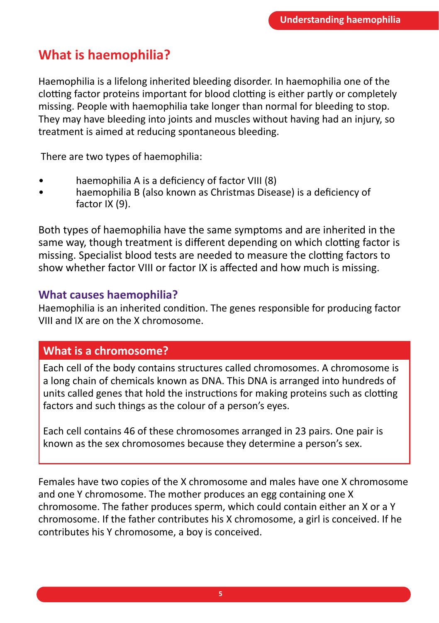## **What is haemophilia?**

Haemophilia is a lifelong inherited bleeding disorder. In haemophilia one of the clotting factor proteins important for blood clotting is either partly or completely missing. People with haemophilia take longer than normal for bleeding to stop. They may have bleeding into joints and muscles without having had an injury, so treatment is aimed at reducing spontaneous bleeding.

There are two types of haemophilia:

- haemophilia A is a deficiency of factor VIII (8)
- haemophilia B (also known as Christmas Disease) is a deficiency of factor IX (9).

Both types of haemophilia have the same symptoms and are inherited in the same way, though treatment is different depending on which clotting factor is missing. Specialist blood tests are needed to measure the clotting factors to show whether factor VIII or factor IX is affected and how much is missing.

#### **What causes haemophilia?**

Haemophilia is an inherited condition. The genes responsible for producing factor VIII and IX are on the X chromosome.

#### **What is a chromosome?**

Each cell of the body contains structures called chromosomes. A chromosome is a long chain of chemicals known as DNA. This DNA is arranged into hundreds of units called genes that hold the instructions for making proteins such as clotting factors and such things as the colour of a person's eyes.

Each cell contains 46 of these chromosomes arranged in 23 pairs. One pair is known as the sex chromosomes because they determine a person's sex.

Females have two copies of the X chromosome and males have one X chromosome and one Y chromosome. The mother produces an egg containing one X chromosome. The father produces sperm, which could contain either an X or a Y chromosome. If the father contributes his X chromosome, a girl is conceived. If he contributes his Y chromosome, a boy is conceived.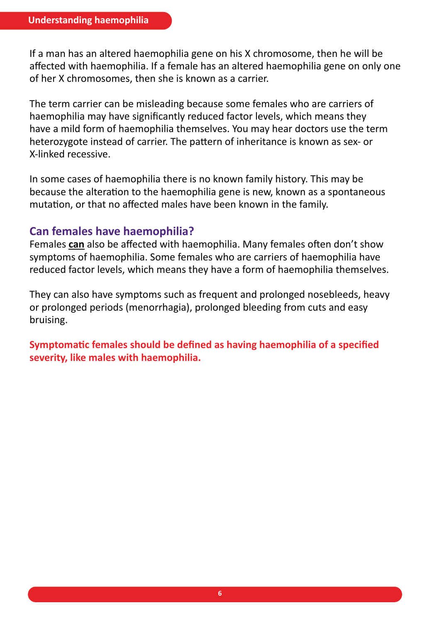If a man has an altered haemophilia gene on his X chromosome, then he will be affected with haemophilia. If a female has an altered haemophilia gene on only one of her X chromosomes, then she is known as a carrier.

The term carrier can be misleading because some females who are carriers of haemophilia may have significantly reduced factor levels, which means they have a mild form of haemophilia themselves. You may hear doctors use the term heterozygote instead of carrier. The pattern of inheritance is known as sex- or X-linked recessive.

In some cases of haemophilia there is no known family history. This may be because the alteration to the haemophilia gene is new, known as a spontaneous mutation, or that no affected males have been known in the family.

#### **Can females have haemophilia?**

Females **can** also be affected with haemophilia. Many females often don't show symptoms of haemophilia. Some females who are carriers of haemophilia have reduced factor levels, which means they have a form of haemophilia themselves.

They can also have symptoms such as frequent and prolonged nosebleeds, heavy or prolonged periods (menorrhagia), prolonged bleeding from cuts and easy bruising.

**Symptomatic females should be defined as having haemophilia of a specified severity, like males with haemophilia.**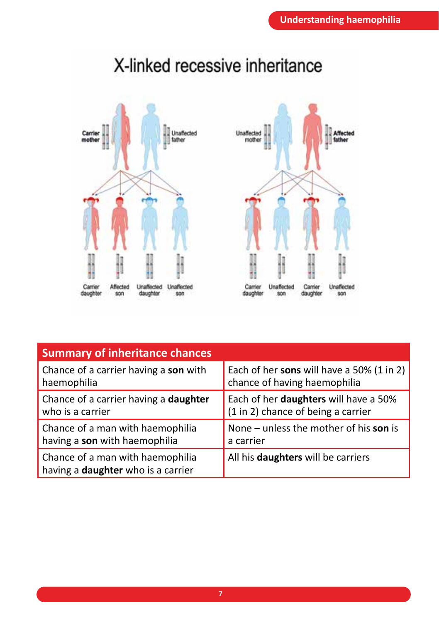

# X-linked recessive inheritance



| <b>Summary of inheritance chances</b>                                         |                                           |
|-------------------------------------------------------------------------------|-------------------------------------------|
| Chance of a carrier having a son with                                         | Each of her sons will have a 50% (1 in 2) |
| haemophilia                                                                   | chance of having haemophilia              |
| Chance of a carrier having a <b>daughter</b>                                  | Each of her daughters will have a 50%     |
| who is a carrier                                                              | (1 in 2) chance of being a carrier        |
| Chance of a man with haemophilia                                              | None – unless the mother of his son is    |
| having a son with haemophilia                                                 | a carrier                                 |
| Chance of a man with haemophilia<br>having a <b>daughter</b> who is a carrier | All his <b>daughters</b> will be carriers |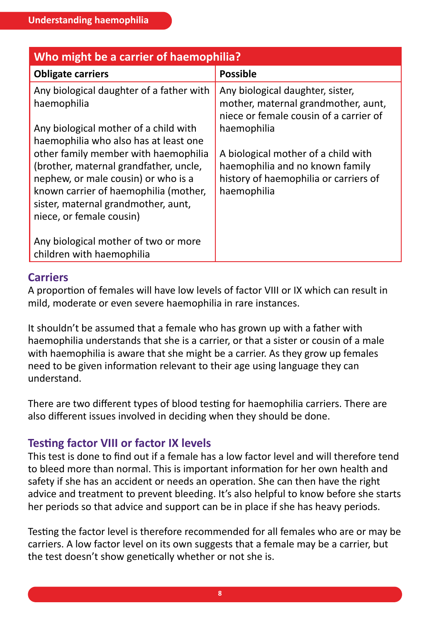| Who might be a carrier of haemophilia?                                                                                                                                                                                                                                     |                                                                                                                                |  |
|----------------------------------------------------------------------------------------------------------------------------------------------------------------------------------------------------------------------------------------------------------------------------|--------------------------------------------------------------------------------------------------------------------------------|--|
| <b>Obligate carriers</b>                                                                                                                                                                                                                                                   | <b>Possible</b>                                                                                                                |  |
| Any biological daughter of a father with<br>haemophilia                                                                                                                                                                                                                    | Any biological daughter, sister,<br>mother, maternal grandmother, aunt,<br>niece or female cousin of a carrier of              |  |
| Any biological mother of a child with                                                                                                                                                                                                                                      | haemophilia                                                                                                                    |  |
| haemophilia who also has at least one<br>other family member with haemophilia<br>(brother, maternal grandfather, uncle,<br>nephew, or male cousin) or who is a<br>known carrier of haemophilia (mother,<br>sister, maternal grandmother, aunt,<br>niece, or female cousin) | A biological mother of a child with<br>haemophilia and no known family<br>history of haemophilia or carriers of<br>haemophilia |  |
| Any biological mother of two or more<br>children with haemophilia                                                                                                                                                                                                          |                                                                                                                                |  |

#### **Carriers**

A proportion of females will have low levels of factor VIII or IX which can result in mild, moderate or even severe haemophilia in rare instances.

It shouldn't be assumed that a female who has grown up with a father with haemophilia understands that she is a carrier, or that a sister or cousin of a male with haemophilia is aware that she might be a carrier. As they grow up females need to be given information relevant to their age using language they can understand.

There are two different types of blood testing for haemophilia carriers. There are also different issues involved in deciding when they should be done.

#### **Testing factor VIII or factor IX levels**

This test is done to find out if a female has a low factor level and will therefore tend to bleed more than normal. This is important information for her own health and safety if she has an accident or needs an operation. She can then have the right advice and treatment to prevent bleeding. It's also helpful to know before she starts her periods so that advice and support can be in place if she has heavy periods.

Testing the factor level is therefore recommended for all females who are or may be carriers. A low factor level on its own suggests that a female may be a carrier, but the test doesn't show genetically whether or not she is.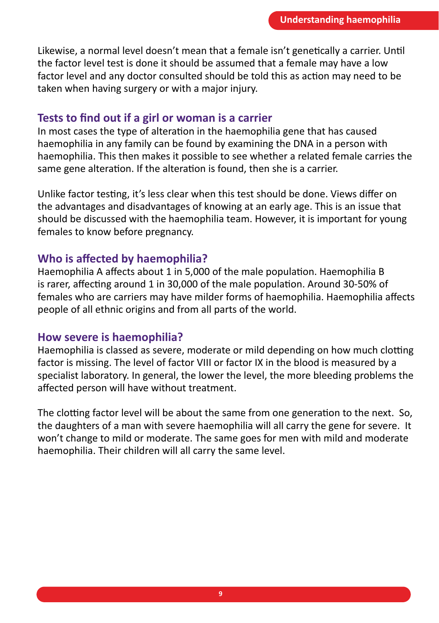Likewise, a normal level doesn't mean that a female isn't genetically a carrier. Until the factor level test is done it should be assumed that a female may have a low factor level and any doctor consulted should be told this as action may need to be taken when having surgery or with a major injury.

#### **Tests to find out if a girl or woman is a carrier**

In most cases the type of alteration in the haemophilia gene that has caused haemophilia in any family can be found by examining the DNA in a person with haemophilia. This then makes it possible to see whether a related female carries the same gene alteration. If the alteration is found, then she is a carrier.

Unlike factor testing, it's less clear when this test should be done. Views differ on the advantages and disadvantages of knowing at an early age. This is an issue that should be discussed with the haemophilia team. However, it is important for young females to know before pregnancy.

#### **Who is affected by haemophilia?**

Haemophilia A affects about 1 in 5,000 of the male population. Haemophilia B is rarer, affecting around 1 in 30,000 of the male population. Around 30-50% of females who are carriers may have milder forms of haemophilia. Haemophilia affects people of all ethnic origins and from all parts of the world.

#### **How severe is haemophilia?**

Haemophilia is classed as severe, moderate or mild depending on how much clotting factor is missing. The level of factor VIII or factor IX in the blood is measured by a specialist laboratory. In general, the lower the level, the more bleeding problems the affected person will have without treatment.

The clotting factor level will be about the same from one generation to the next. So, the daughters of a man with severe haemophilia will all carry the gene for severe. It won't change to mild or moderate. The same goes for men with mild and moderate haemophilia. Their children will all carry the same level.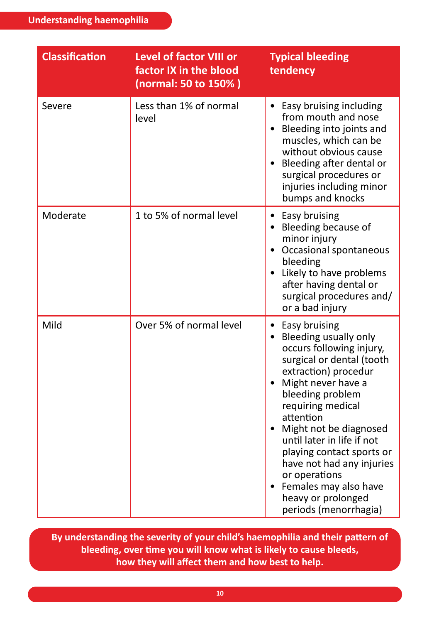| <b>Classification</b> | <b>Level of factor VIII or</b><br>factor IX in the blood<br>(normal: 50 to 150%) | <b>Typical bleeding</b><br>tendency                                                                                                                                                                                                                                                                                                                                                                                               |
|-----------------------|----------------------------------------------------------------------------------|-----------------------------------------------------------------------------------------------------------------------------------------------------------------------------------------------------------------------------------------------------------------------------------------------------------------------------------------------------------------------------------------------------------------------------------|
| Severe                | Less than 1% of normal<br>level                                                  | Easy bruising including<br>from mouth and nose<br>Bleeding into joints and<br>muscles, which can be<br>without obvious cause<br>• Bleeding after dental or<br>surgical procedures or<br>injuries including minor<br>bumps and knocks                                                                                                                                                                                              |
| Moderate              | 1 to 5% of normal level                                                          | • Easy bruising<br>• Bleeding because of<br>minor injury<br>• Occasional spontaneous<br>bleeding<br>• Likely to have problems<br>after having dental or<br>surgical procedures and/<br>or a bad injury                                                                                                                                                                                                                            |
| Mild                  | Over 5% of normal level                                                          | • Easy bruising<br>• Bleeding usually only<br>occurs following injury,<br>surgical or dental (tooth<br>extraction) procedur<br>Might never have a<br>$\bullet$<br>bleeding problem<br>requiring medical<br>attention<br>• Might not be diagnosed<br>until later in life if not<br>playing contact sports or<br>have not had any injuries<br>or operations<br>Females may also have<br>heavy or prolonged<br>periods (menorrhagia) |

**By understanding the severity of your child's haemophilia and their pattern of bleeding, over time you will know what is likely to cause bleeds, how they will affect them and how best to help.**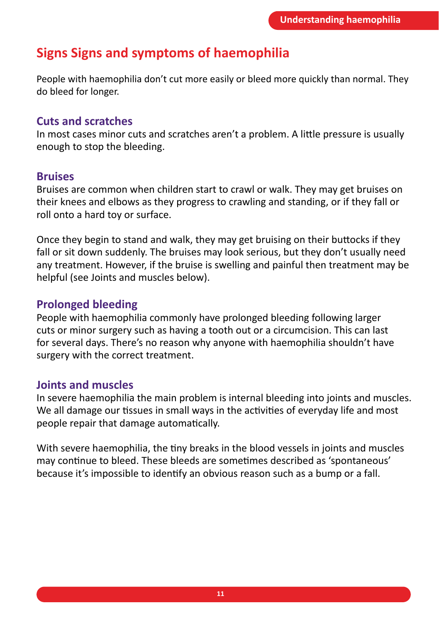## **Signs Signs and symptoms of haemophilia**

People with haemophilia don't cut more easily or bleed more quickly than normal. They do bleed for longer.

#### **Cuts and scratches**

In most cases minor cuts and scratches aren't a problem. A little pressure is usually enough to stop the bleeding.

#### **Bruises**

Bruises are common when children start to crawl or walk. They may get bruises on their knees and elbows as they progress to crawling and standing, or if they fall or roll onto a hard toy or surface.

Once they begin to stand and walk, they may get bruising on their buttocks if they fall or sit down suddenly. The bruises may look serious, but they don't usually need any treatment. However, if the bruise is swelling and painful then treatment may be helpful (see Joints and muscles below).

#### **Prolonged bleeding**

People with haemophilia commonly have prolonged bleeding following larger cuts or minor surgery such as having a tooth out or a circumcision. This can last for several days. There's no reason why anyone with haemophilia shouldn't have surgery with the correct treatment.

#### **Joints and muscles**

In severe haemophilia the main problem is internal bleeding into joints and muscles. We all damage our tissues in small ways in the activities of everyday life and most people repair that damage automatically.

With severe haemophilia, the tiny breaks in the blood vessels in joints and muscles may continue to bleed. These bleeds are sometimes described as 'spontaneous' because it's impossible to identify an obvious reason such as a bump or a fall.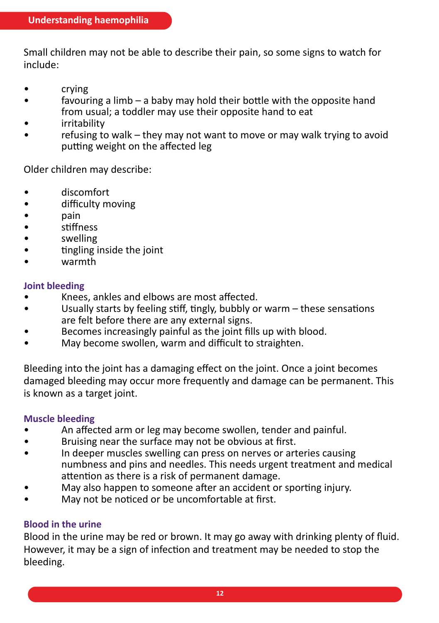Small children may not be able to describe their pain, so some signs to watch for include:

- crying
- favouring a limb a baby may hold their bottle with the opposite hand from usual; a toddler may use their opposite hand to eat
- irritability
- refusing to walk they may not want to move or may walk trying to avoid putting weight on the affected leg

Older children may describe:

- discomfort
- difficulty moving
- pain
- stiffness
- swelling
- tingling inside the joint
- warmth

#### **Joint bleeding**

- Knees, ankles and elbows are most affected.
- Usually starts by feeling stiff, tingly, bubbly or warm these sensations are felt before there are any external signs.
- Becomes increasingly painful as the joint fills up with blood.
- May become swollen, warm and difficult to straighten.

Bleeding into the joint has a damaging effect on the joint. Once a joint becomes damaged bleeding may occur more frequently and damage can be permanent. This is known as a target joint.

#### **Muscle bleeding**

- An affected arm or leg may become swollen, tender and painful.
- Bruising near the surface may not be obvious at first.
- In deeper muscles swelling can press on nerves or arteries causing numbness and pins and needles. This needs urgent treatment and medical attention as there is a risk of permanent damage.
- May also happen to someone after an accident or sporting injury.
- May not be noticed or be uncomfortable at first.

#### **Blood in the urine**

Blood in the urine may be red or brown. It may go away with drinking plenty of fluid. However, it may be a sign of infection and treatment may be needed to stop the bleeding.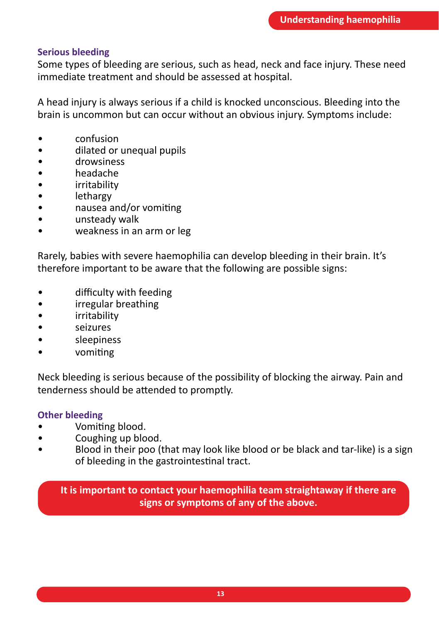#### **Serious bleeding**

Some types of bleeding are serious, such as head, neck and face injury. These need immediate treatment and should be assessed at hospital.

A head injury is always serious if a child is knocked unconscious. Bleeding into the brain is uncommon but can occur without an obvious injury. Symptoms include:

- confusion
- dilated or unequal pupils
- drowsiness
- headache
- irritability
- lethargy
- nausea and/or vomiting
- unsteady walk
- weakness in an arm or leg

Rarely, babies with severe haemophilia can develop bleeding in their brain. It's therefore important to be aware that the following are possible signs:

- difficulty with feeding
- irregular breathing
- irritability
- seizures
- sleepiness
- vomiting

Neck bleeding is serious because of the possibility of blocking the airway. Pain and tenderness should be attended to promptly.

#### **Other bleeding**

- Vomiting blood.
- Coughing up blood.
- Blood in their poo (that may look like blood or be black and tar-like) is a sign of bleeding in the gastrointestinal tract.

**It is important to contact your haemophilia team straightaway if there are signs or symptoms of any of the above.**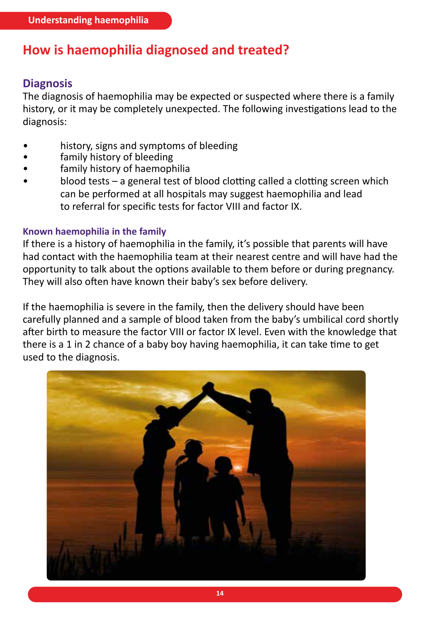## **How is haemophilia diagnosed and treated?**

#### **Diagnosis**

The diagnosis of haemophilia may be expected or suspected where there is a family history, or it may be completely unexpected. The following investigations lead to the diagnosis:

- history, signs and symptoms of bleeding
- family history of bleeding
- family history of haemophilia
- blood tests a general test of blood clotting called a clotting screen which can be performed at all hospitals may suggest haemophilia and lead to referral for specific tests for factor VIII and factor IX.

#### **Known haemophilia in the family**

If there is a history of haemophilia in the family, it's possible that parents will have had contact with the haemophilia team at their nearest centre and will have had the opportunity to talk about the options available to them before or during pregnancy. They will also often have known their baby's sex before delivery.

If the haemophilia is severe in the family, then the delivery should have been carefully planned and a sample of blood taken from the baby's umbilical cord shortly after birth to measure the factor VIII or factor IX level. Even with the knowledge that there is a 1 in 2 chance of a baby boy having haemophilia, it can take time to get used to the diagnosis.

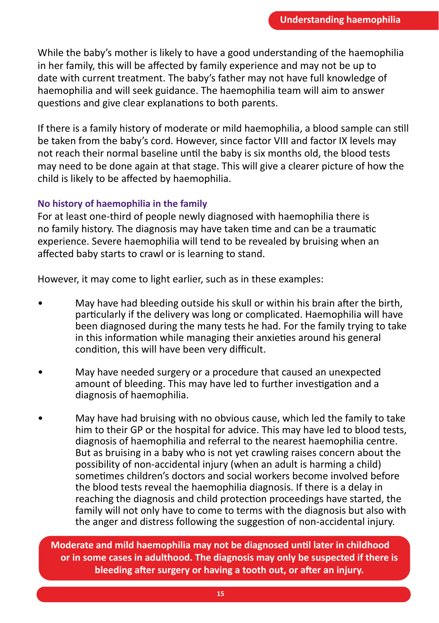While the baby's mother is likely to have a good understanding of the haemophilia in her family, this will be affected by family experience and may not be up to date with current treatment. The baby's father may not have full knowledge of haemophilia and will seek guidance. The haemophilia team will aim to answer questions and give clear explanations to both parents.

If there is a family history of moderate or mild haemophilia, a blood sample can still be taken from the baby's cord. However, since factor VIII and factor IX levels may not reach their normal baseline until the baby is six months old, the blood tests may need to be done again at that stage. This will give a clearer picture of how the child is likely to be affected by haemophilia.

#### **No history of haemophilia in the family**

For at least one-third of people newly diagnosed with haemophilia there is no family history. The diagnosis may have taken time and can be a traumatic experience. Severe haemophilia will tend to be revealed by bruising when an affected baby starts to crawl or is learning to stand.

However, it may come to light earlier, such as in these examples:

- May have had bleeding outside his skull or within his brain after the birth, particularly if the delivery was long or complicated. Haemophilia will have been diagnosed during the many tests he had. For the family trying to take in this information while managing their anxieties around his general condition, this will have been very difficult.
- May have needed surgery or a procedure that caused an unexpected amount of bleeding. This may have led to further investigation and a diagnosis of haemophilia.
- May have had bruising with no obvious cause, which led the family to take him to their GP or the hospital for advice. This may have led to blood tests, diagnosis of haemophilia and referral to the nearest haemophilia centre. But as bruising in a baby who is not yet crawling raises concern about the possibility of non-accidental injury (when an adult is harming a child) sometimes children's doctors and social workers become involved before the blood tests reveal the haemophilia diagnosis. If there is a delay in reaching the diagnosis and child protection proceedings have started, the family will not only have to come to terms with the diagnosis but also with the anger and distress following the suggestion of non-accidental injury.

**Moderate and mild haemophilia may not be diagnosed until later in childhood or in some cases in adulthood. The diagnosis may only be suspected if there is bleeding after surgery or having a tooth out, or after an injury.**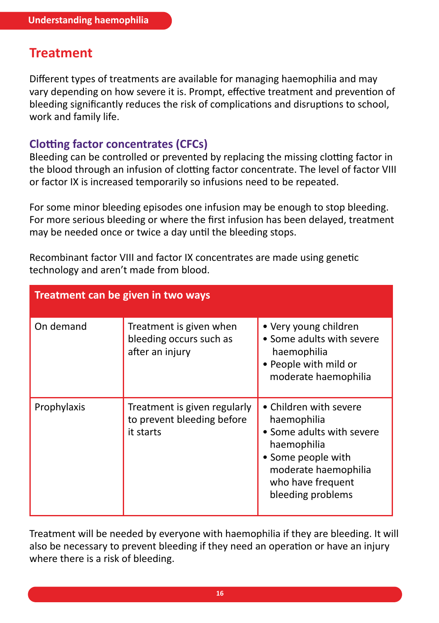## **Treatment**

Different types of treatments are available for managing haemophilia and may vary depending on how severe it is. Prompt, effective treatment and prevention of bleeding significantly reduces the risk of complications and disruptions to school, work and family life.

#### **Clotting factor concentrates (CFCs)**

Bleeding can be controlled or prevented by replacing the missing clotting factor in the blood through an infusion of clotting factor concentrate. The level of factor VIII or factor IX is increased temporarily so infusions need to be repeated.

For some minor bleeding episodes one infusion may be enough to stop bleeding. For more serious bleeding or where the first infusion has been delayed, treatment may be needed once or twice a day until the bleeding stops.

| Treatment can be given in two ways |                                                                         |                                                                                                                                                                           |  |
|------------------------------------|-------------------------------------------------------------------------|---------------------------------------------------------------------------------------------------------------------------------------------------------------------------|--|
| On demand                          | Treatment is given when<br>bleeding occurs such as<br>after an injury   | • Very young children<br>• Some adults with severe<br>haemophilia<br>• People with mild or<br>moderate haemophilia                                                        |  |
| Prophylaxis                        | Treatment is given regularly<br>to prevent bleeding before<br>it starts | • Children with severe<br>haemophilia<br>• Some adults with severe<br>haemophilia<br>• Some people with<br>moderate haemophilia<br>who have frequent<br>bleeding problems |  |

Recombinant factor VIII and factor IX concentrates are made using genetic technology and aren't made from blood.

Treatment will be needed by everyone with haemophilia if they are bleeding. It will also be necessary to prevent bleeding if they need an operation or have an injury where there is a risk of bleeding.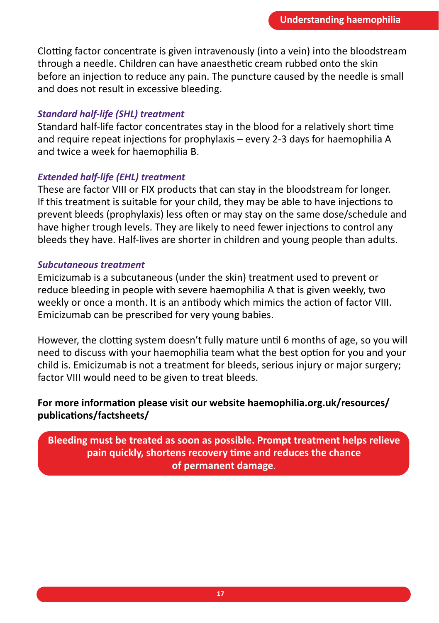Clotting factor concentrate is given intravenously (into a vein) into the bloodstream through a needle. Children can have anaesthetic cream rubbed onto the skin before an injection to reduce any pain. The puncture caused by the needle is small and does not result in excessive bleeding.

#### *Standard half-life (SHL) treatment*

Standard half-life factor concentrates stay in the blood for a relatively short time and require repeat injections for prophylaxis – every 2-3 days for haemophilia A and twice a week for haemophilia B.

#### *Extended half-life (EHL) treatment*

These are factor VIII or FIX products that can stay in the bloodstream for longer. If this treatment is suitable for your child, they may be able to have injections to prevent bleeds (prophylaxis) less often or may stay on the same dose/schedule and have higher trough levels. They are likely to need fewer injections to control any bleeds they have. Half-lives are shorter in children and young people than adults.

#### *Subcutaneous treatment*

Emicizumab is a subcutaneous (under the skin) treatment used to prevent or reduce bleeding in people with severe haemophilia A that is given weekly, two weekly or once a month. It is an antibody which mimics the action of factor VIII. Emicizumab can be prescribed for very young babies.

However, the clotting system doesn't fully mature until 6 months of age, so you will need to discuss with your haemophilia team what the best option for you and your child is. Emicizumab is not a treatment for bleeds, serious injury or major surgery; factor VIII would need to be given to treat bleeds.

#### **For more information please visit our website haemophilia.org.uk/resources/ publications/factsheets/**

**Bleeding must be treated as soon as possible. Prompt treatment helps relieve pain quickly, shortens recovery time and reduces the chance of permanent damage**.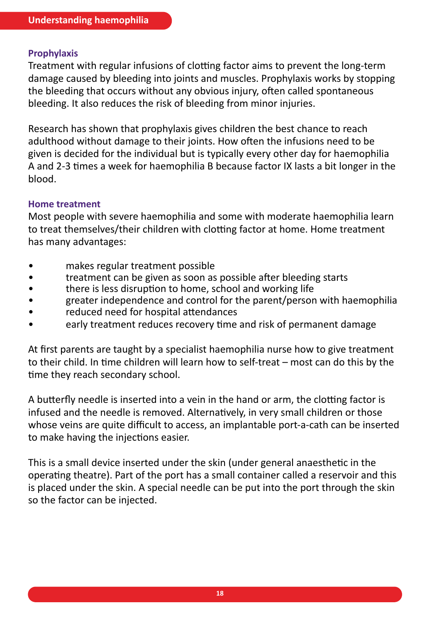#### **Prophylaxis**

Treatment with regular infusions of clotting factor aims to prevent the long-term damage caused by bleeding into joints and muscles. Prophylaxis works by stopping the bleeding that occurs without any obvious injury, often called spontaneous bleeding. It also reduces the risk of bleeding from minor injuries.

Research has shown that prophylaxis gives children the best chance to reach adulthood without damage to their joints. How often the infusions need to be given is decided for the individual but is typically every other day for haemophilia A and 2-3 times a week for haemophilia B because factor IX lasts a bit longer in the blood.

#### **Home treatment**

Most people with severe haemophilia and some with moderate haemophilia learn to treat themselves/their children with clotting factor at home. Home treatment has many advantages:

- makes regular treatment possible
- treatment can be given as soon as possible after bleeding starts
- there is less disruption to home, school and working life
- greater independence and control for the parent/person with haemophilia
- reduced need for hospital attendances
- early treatment reduces recovery time and risk of permanent damage

At first parents are taught by a specialist haemophilia nurse how to give treatment to their child. In time children will learn how to self-treat – most can do this by the time they reach secondary school.

A butterfly needle is inserted into a vein in the hand or arm, the clotting factor is infused and the needle is removed. Alternatively, in very small children or those whose veins are quite difficult to access, an implantable port-a-cath can be inserted to make having the injections easier.

This is a small device inserted under the skin (under general anaesthetic in the operating theatre). Part of the port has a small container called a reservoir and this is placed under the skin. A special needle can be put into the port through the skin so the factor can be injected.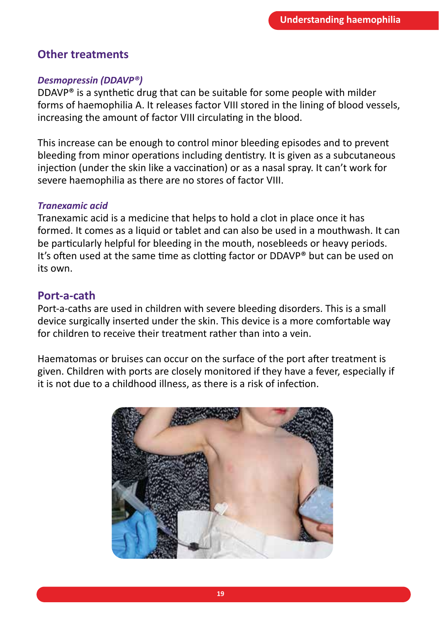#### **Other treatments**

#### *Desmopressin (DDAVP®)*

DDAVP® is a synthetic drug that can be suitable for some people with milder forms of haemophilia A. It releases factor VIII stored in the lining of blood vessels, increasing the amount of factor VIII circulating in the blood.

This increase can be enough to control minor bleeding episodes and to prevent bleeding from minor operations including dentistry. It is given as a subcutaneous injection (under the skin like a vaccination) or as a nasal spray. It can't work for severe haemophilia as there are no stores of factor VIII.

#### *Tranexamic acid*

Tranexamic acid is a medicine that helps to hold a clot in place once it has formed. It comes as a liquid or tablet and can also be used in a mouthwash. It can be particularly helpful for bleeding in the mouth, nosebleeds or heavy periods. It's often used at the same time as clotting factor or DDAVP® but can be used on its own.

#### **Port-a-cath**

Port-a-caths are used in children with severe bleeding disorders. This is a small device surgically inserted under the skin. This device is a more comfortable way for children to receive their treatment rather than into a vein.

Haematomas or bruises can occur on the surface of the port after treatment is given. Children with ports are closely monitored if they have a fever, especially if it is not due to a childhood illness, as there is a risk of infection.

![](_page_18_Picture_10.jpeg)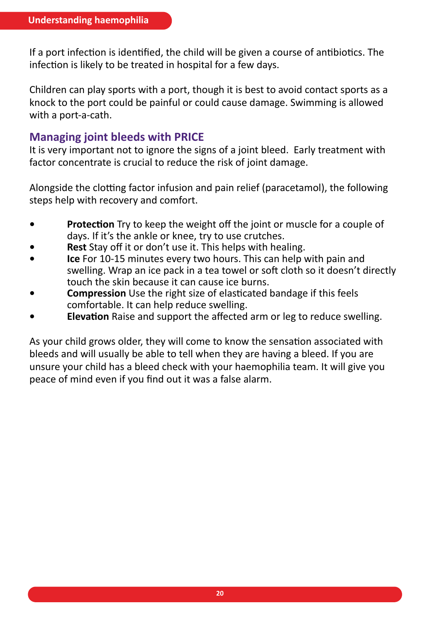If a port infection is identified, the child will be given a course of antibiotics. The infection is likely to be treated in hospital for a few days.

Children can play sports with a port, though it is best to avoid contact sports as a knock to the port could be painful or could cause damage. Swimming is allowed with a port-a-cath.

#### **Managing joint bleeds with PRICE**

It is very important not to ignore the signs of a joint bleed.  Early treatment with factor concentrate is crucial to reduce the risk of joint damage.

Alongside the clotting factor infusion and pain relief (paracetamol), the following steps help with recovery and comfort.

- **• Protection** Try to keep the weight off the joint or muscle for a couple of days. If it's the ankle or knee, try to use crutches.
- **• Rest** Stay off it or don't use it. This helps with healing.
- **• Ice** For 10-15 minutes every two hours. This can help with pain and swelling. Wrap an ice pack in a tea towel or soft cloth so it doesn't directly touch the skin because it can cause ice burns.
- **• Compression** Use the right size of elasticated bandage if this feels comfortable. It can help reduce swelling.
- **• Elevation** Raise and support the affected arm or leg to reduce swelling.

As your child grows older, they will come to know the sensation associated with bleeds and will usually be able to tell when they are having a bleed. If you are unsure your child has a bleed check with your haemophilia team. It will give you peace of mind even if you find out it was a false alarm.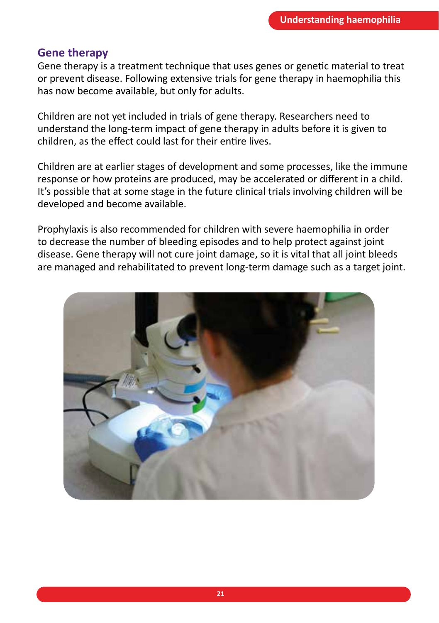#### **Gene therapy**

Gene therapy is a treatment technique that uses genes or genetic material to treat or prevent disease. Following extensive trials for gene therapy in haemophilia this has now become available, but only for adults.

Children are not yet included in trials of gene therapy. Researchers need to understand the long-term impact of gene therapy in adults before it is given to children, as the effect could last for their entire lives.

Children are at earlier stages of development and some processes, like the immune response or how proteins are produced, may be accelerated or different in a child. It's possible that at some stage in the future clinical trials involving children will be developed and become available.

Prophylaxis is also recommended for children with severe haemophilia in order to decrease the number of bleeding episodes and to help protect against joint disease. Gene therapy will not cure joint damage, so it is vital that all joint bleeds are managed and rehabilitated to prevent long-term damage such as a target joint.

![](_page_20_Picture_6.jpeg)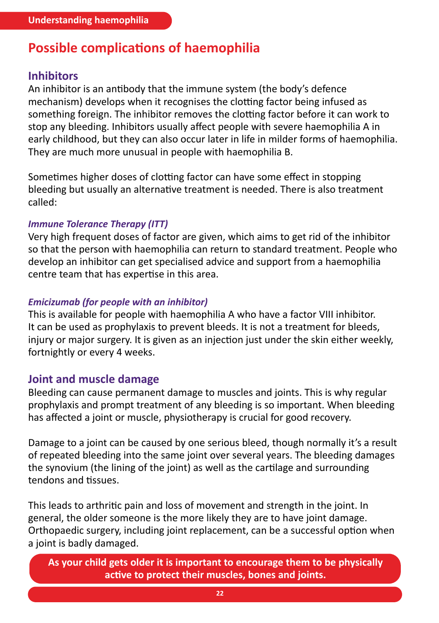## **Possible complications of haemophilia**

#### **Inhibitors**

An inhibitor is an antibody that the immune system (the body's defence mechanism) develops when it recognises the clotting factor being infused as something foreign. The inhibitor removes the clotting factor before it can work to stop any bleeding. Inhibitors usually affect people with severe haemophilia A in early childhood, but they can also occur later in life in milder forms of haemophilia. They are much more unusual in people with haemophilia B.

Sometimes higher doses of clotting factor can have some effect in stopping bleeding but usually an alternative treatment is needed. There is also treatment called:

#### *Immune Tolerance Therapy (ITT)*

Very high frequent doses of factor are given, which aims to get rid of the inhibitor so that the person with haemophilia can return to standard treatment. People who develop an inhibitor can get specialised advice and support from a haemophilia centre team that has expertise in this area.

#### *Emicizumab (for people with an inhibitor)*

This is available for people with haemophilia A who have a factor VIII inhibitor. It can be used as prophylaxis to prevent bleeds. It is not a treatment for bleeds, injury or major surgery. It is given as an injection just under the skin either weekly, fortnightly or every 4 weeks.

#### **Joint and muscle damage**

Bleeding can cause permanent damage to muscles and joints. This is why regular prophylaxis and prompt treatment of any bleeding is so important. When bleeding has affected a joint or muscle, physiotherapy is crucial for good recovery.

Damage to a joint can be caused by one serious bleed, though normally it's a result of repeated bleeding into the same joint over several years. The bleeding damages the synovium (the lining of the joint) as well as the cartilage and surrounding tendons and tissues.

This leads to arthritic pain and loss of movement and strength in the joint. In general, the older someone is the more likely they are to have joint damage. Orthopaedic surgery, including joint replacement, can be a successful option when a joint is badly damaged.

**As your child gets older it is important to encourage them to be physically active to protect their muscles, bones and joints.**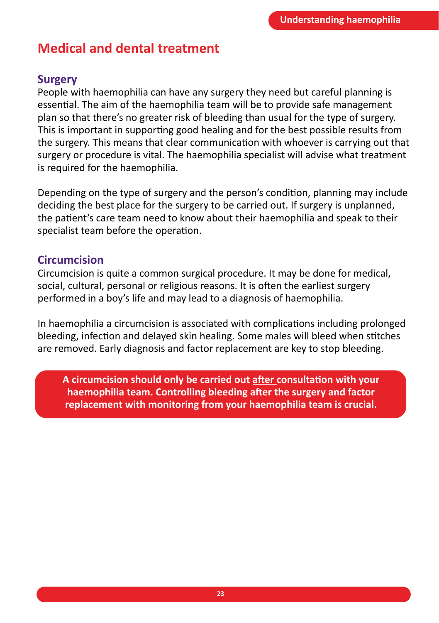## **Medical and dental treatment**

#### **Surgery**

People with haemophilia can have any surgery they need but careful planning is essential. The aim of the haemophilia team will be to provide safe management plan so that there's no greater risk of bleeding than usual for the type of surgery. This is important in supporting good healing and for the best possible results from the surgery. This means that clear communication with whoever is carrying out that surgery or procedure is vital. The haemophilia specialist will advise what treatment is required for the haemophilia.

Depending on the type of surgery and the person's condition, planning may include deciding the best place for the surgery to be carried out. If surgery is unplanned, the patient's care team need to know about their haemophilia and speak to their specialist team before the operation.

#### **Circumcision**

Circumcision is quite a common surgical procedure. It may be done for medical, social, cultural, personal or religious reasons. It is often the earliest surgery performed in a boy's life and may lead to a diagnosis of haemophilia.

In haemophilia a circumcision is associated with complications including prolonged bleeding, infection and delayed skin healing. Some males will bleed when stitches are removed. Early diagnosis and factor replacement are key to stop bleeding.

**A circumcision should only be carried out after consultation with your haemophilia team. Controlling bleeding after the surgery and factor replacement with monitoring from your haemophilia team is crucial.**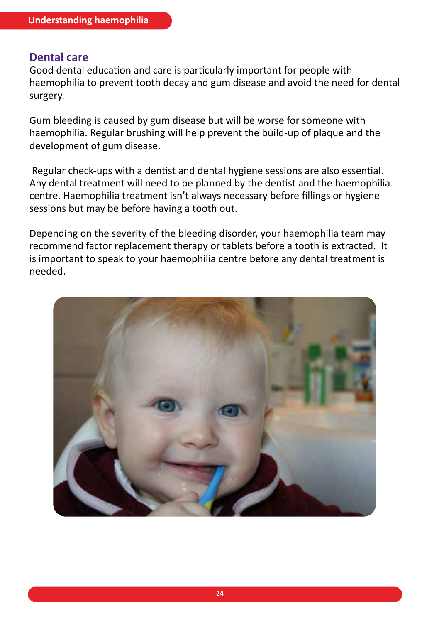#### **Dental care**

Good dental education and care is particularly important for people with haemophilia to prevent tooth decay and gum disease and avoid the need for dental surgery.

Gum bleeding is caused by gum disease but will be worse for someone with haemophilia. Regular brushing will help prevent the build-up of plaque and the development of gum disease.

 Regular check-ups with a dentist and dental hygiene sessions are also essential. Any dental treatment will need to be planned by the dentist and the haemophilia centre. Haemophilia treatment isn't always necessary before fillings or hygiene sessions but may be before having a tooth out.

Depending on the severity of the bleeding disorder, your haemophilia team may recommend factor replacement therapy or tablets before a tooth is extracted. It is important to speak to your haemophilia centre before any dental treatment is needed.

![](_page_23_Picture_6.jpeg)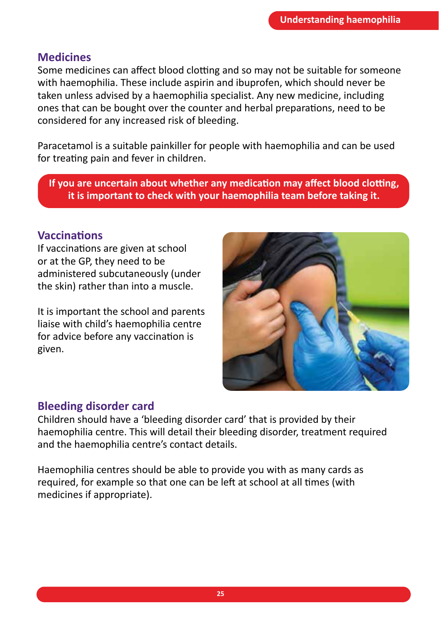#### **Medicines**

Some medicines can affect blood clotting and so may not be suitable for someone with haemophilia. These include aspirin and ibuprofen, which should never be taken unless advised by a haemophilia specialist. Any new medicine, including ones that can be bought over the counter and herbal preparations, need to be considered for any increased risk of bleeding.

Paracetamol is a suitable painkiller for people with haemophilia and can be used for treating pain and fever in children.

**If you are uncertain about whether any medication may affect blood clotting, it is important to check with your haemophilia team before taking it.** 

#### **Vaccinations**

If vaccinations are given at school or at the GP, they need to be administered subcutaneously (under the skin) rather than into a muscle.

It is important the school and parents liaise with child's haemophilia centre for advice before any vaccination is given.

![](_page_24_Picture_8.jpeg)

#### **Bleeding disorder card**

Children should have a 'bleeding disorder card' that is provided by their haemophilia centre. This will detail their bleeding disorder, treatment required and the haemophilia centre's contact details.

Haemophilia centres should be able to provide you with as many cards as required, for example so that one can be left at school at all times (with medicines if appropriate).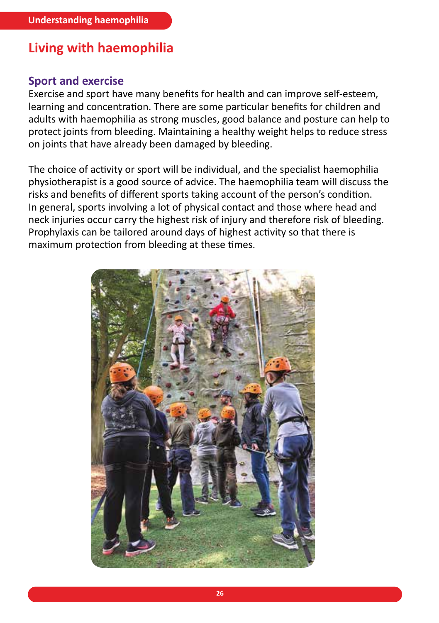## **Living with haemophilia**

#### **Sport and exercise**

Exercise and sport have many benefits for health and can improve self-esteem, learning and concentration. There are some particular benefits for children and adults with haemophilia as strong muscles, good balance and posture can help to protect joints from bleeding. Maintaining a healthy weight helps to reduce stress on joints that have already been damaged by bleeding.

The choice of activity or sport will be individual, and the specialist haemophilia physiotherapist is a good source of advice. The haemophilia team will discuss the risks and benefits of different sports taking account of the person's condition. In general, sports involving a lot of physical contact and those where head and neck injuries occur carry the highest risk of injury and therefore risk of bleeding. Prophylaxis can be tailored around days of highest activity so that there is maximum protection from bleeding at these times.

![](_page_25_Picture_5.jpeg)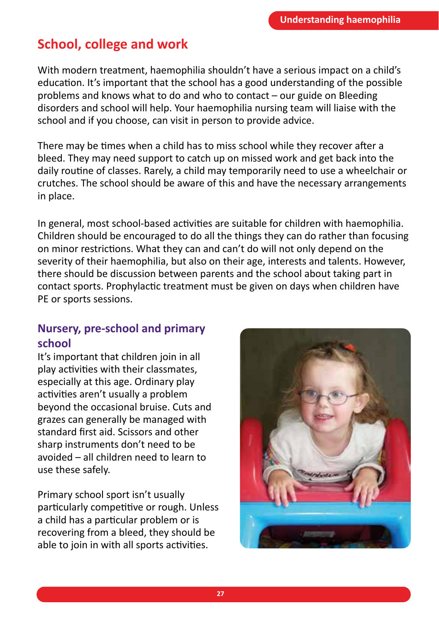## **School, college and work**

With modern treatment, haemophilia shouldn't have a serious impact on a child's education. It's important that the school has a good understanding of the possible problems and knows what to do and who to contact – our guide on Bleeding disorders and school will help. Your haemophilia nursing team will liaise with the school and if you choose, can visit in person to provide advice.

There may be times when a child has to miss school while they recover after a bleed. They may need support to catch up on missed work and get back into the daily routine of classes. Rarely, a child may temporarily need to use a wheelchair or crutches. The school should be aware of this and have the necessary arrangements in place.

In general, most school-based activities are suitable for children with haemophilia. Children should be encouraged to do all the things they can do rather than focusing on minor restrictions. What they can and can't do will not only depend on the severity of their haemophilia, but also on their age, interests and talents. However, there should be discussion between parents and the school about taking part in contact sports. Prophylactic treatment must be given on days when children have PE or sports sessions.

#### **Nursery, pre-school and primary school**

It's important that children join in all play activities with their classmates, especially at this age. Ordinary play activities aren't usually a problem beyond the occasional bruise. Cuts and grazes can generally be managed with standard first aid. Scissors and other sharp instruments don't need to be avoided – all children need to learn to use these safely.

Primary school sport isn't usually particularly competitive or rough. Unless a child has a particular problem or is recovering from a bleed, they should be able to join in with all sports activities.

![](_page_26_Picture_8.jpeg)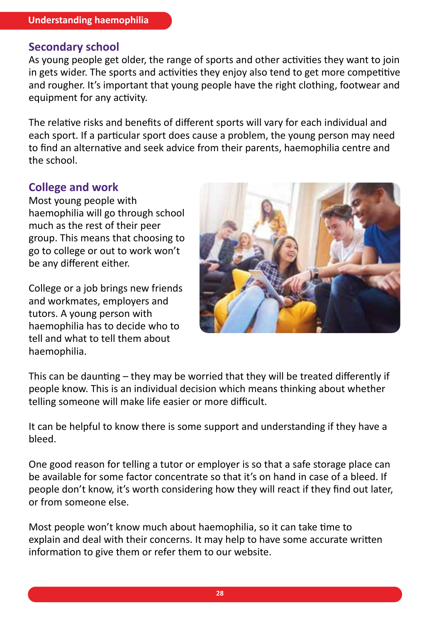#### **Secondary school**

As young people get older, the range of sports and other activities they want to join in gets wider. The sports and activities they enjoy also tend to get more competitive and rougher. It's important that young people have the right clothing, footwear and equipment for any activity.

The relative risks and benefits of different sports will vary for each individual and each sport. If a particular sport does cause a problem, the young person may need to find an alternative and seek advice from their parents, haemophilia centre and the school.

#### **College and work**

Most young people with haemophilia will go through school much as the rest of their peer group. This means that choosing to go to college or out to work won't be any different either.

College or a job brings new friends and workmates, employers and tutors. A young person with haemophilia has to decide who to tell and what to tell them about haemophilia.

![](_page_27_Picture_7.jpeg)

This can be daunting – they may be worried that they will be treated differently if people know. This is an individual decision which means thinking about whether telling someone will make life easier or more difficult.

It can be helpful to know there is some support and understanding if they have a bleed.

One good reason for telling a tutor or employer is so that a safe storage place can be available for some factor concentrate so that it's on hand in case of a bleed. If people don't know, it's worth considering how they will react if they find out later, or from someone else.

Most people won't know much about haemophilia, so it can take time to explain and deal with their concerns. It may help to have some accurate written information to give them or refer them to our website.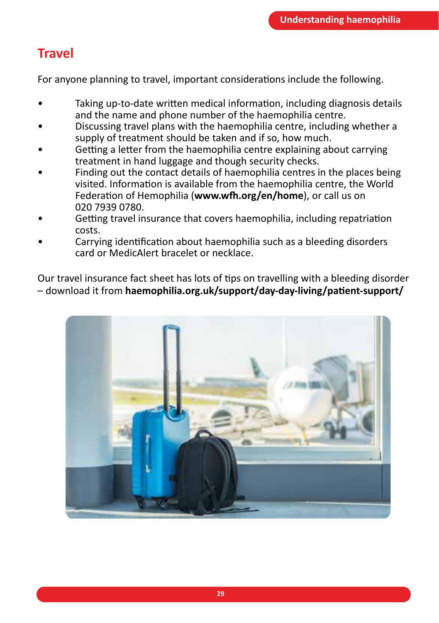## **Travel**

For anyone planning to travel, important considerations include the following.

- Taking up-to-date written medical information, including diagnosis details and the name and phone number of the haemophilia centre.
- Discussing travel plans with the haemophilia centre, including whether a supply of treatment should be taken and if so, how much.
- Getting a letter from the haemophilia centre explaining about carrying treatment in hand luggage and though security checks.
- Finding out the contact details of haemophilia centres in the places being visited. Information is available from the haemophilia centre, the World Federation of Hemophilia (**www.wfh.org/en/home**), or call us on 020 7939 0780.
- Getting travel insurance that covers haemophilia, including repatriation costs.
- Carrying identification about haemophilia such as a bleeding disorders card or MedicAlert bracelet or necklace.

Our travel insurance fact sheet has lots of tips on travelling with a bleeding disorder – download it from **haemophilia.org.uk/support/day-day-living/patient-support/**

![](_page_28_Picture_10.jpeg)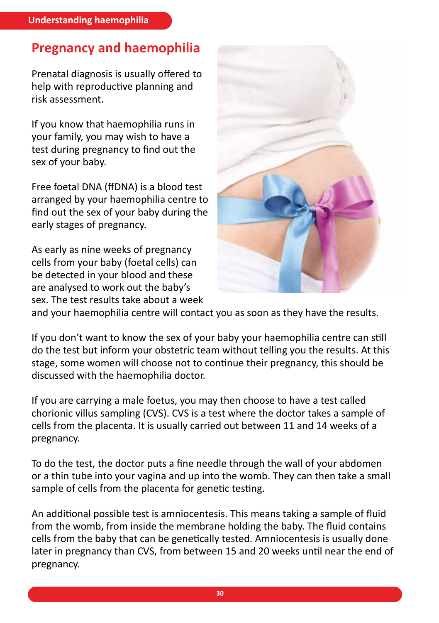## **Pregnancy and haemophilia**

Prenatal diagnosis is usually offered to help with reproductive planning and risk assessment.

If you know that haemophilia runs in your family, you may wish to have a test during pregnancy to find out the sex of your baby.

Free foetal DNA (ffDNA) is a blood test arranged by your haemophilia centre to find out the sex of your baby during the early stages of pregnancy.

As early as nine weeks of pregnancy cells from your baby (foetal cells) can be detected in your blood and these are analysed to work out the baby's sex. The test results take about a week

![](_page_29_Picture_6.jpeg)

and your haemophilia centre will contact you as soon as they have the results.

If you don't want to know the sex of your baby your haemophilia centre can still do the test but inform your obstetric team without telling you the results. At this stage, some women will choose not to continue their pregnancy, this should be discussed with the haemophilia doctor.

If you are carrying a male foetus, you may then choose to have a test called chorionic villus sampling (CVS). CVS is a test where the doctor takes a sample of cells from the placenta. It is usually carried out between 11 and 14 weeks of a pregnancy.

To do the test, the doctor puts a fine needle through the wall of your abdomen or a thin tube into your vagina and up into the womb. They can then take a small sample of cells from the placenta for genetic testing.

An additional possible test is amniocentesis. This means taking a sample of fluid from the womb, from inside the membrane holding the baby. The fluid contains cells from the baby that can be genetically tested. Amniocentesis is usually done later in pregnancy than CVS, from between 15 and 20 weeks until near the end of pregnancy.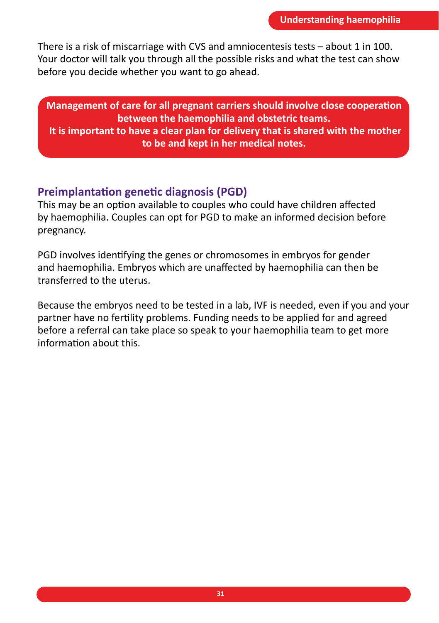There is a risk of miscarriage with CVS and amniocentesis tests – about 1 in 100. Your doctor will talk you through all the possible risks and what the test can show before you decide whether you want to go ahead.

**Management of care for all pregnant carriers should involve close cooperation between the haemophilia and obstetric teams. It is important to have a clear plan for delivery that is shared with the mother to be and kept in her medical notes.**

#### **Preimplantation genetic diagnosis (PGD)**

This may be an option available to couples who could have children affected by haemophilia. Couples can opt for PGD to make an informed decision before pregnancy.

PGD involves identifying the genes or chromosomes in embryos for gender and haemophilia. Embryos which are unaffected by haemophilia can then be transferred to the uterus.

Because the embryos need to be tested in a lab, IVF is needed, even if you and your partner have no fertility problems. Funding needs to be applied for and agreed before a referral can take place so speak to your haemophilia team to get more information about this.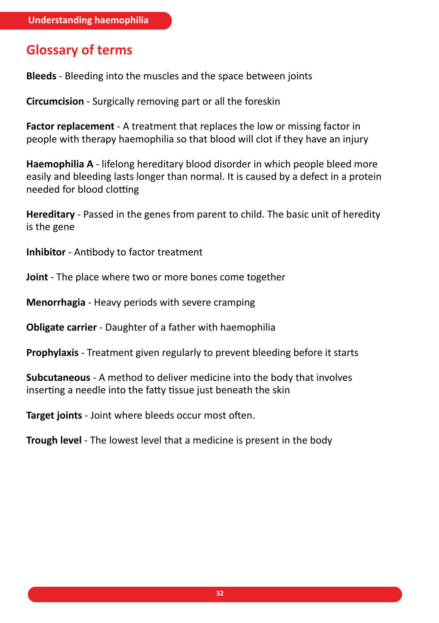## **Glossary of terms**

**Bleeds** - Bleeding into the muscles and the space between joints

**Circumcision** - Surgically removing part or all the foreskin

**Factor replacement** - A treatment that replaces the low or missing factor in people with therapy haemophilia so that blood will clot if they have an injury

**Haemophilia A** - lifelong hereditary blood disorder in which people bleed more easily and bleeding lasts longer than normal. It is caused by a defect in a protein needed for blood clotting

**Hereditary** - Passed in the genes from parent to child. The basic unit of heredity is the gene

**Inhibitor** - Antibody to factor treatment

**Joint** - The place where two or more bones come together

**Menorrhagia** - Heavy periods with severe cramping

**Obligate carrier** - Daughter of a father with haemophilia

**Prophylaxis** - Treatment given regularly to prevent bleeding before it starts

**Subcutaneous** - A method to deliver medicine into the body that involves inserting a needle into the fatty tissue just beneath the skin

**Target joints** - Joint where bleeds occur most often.

**Trough level** - The lowest level that a medicine is present in the body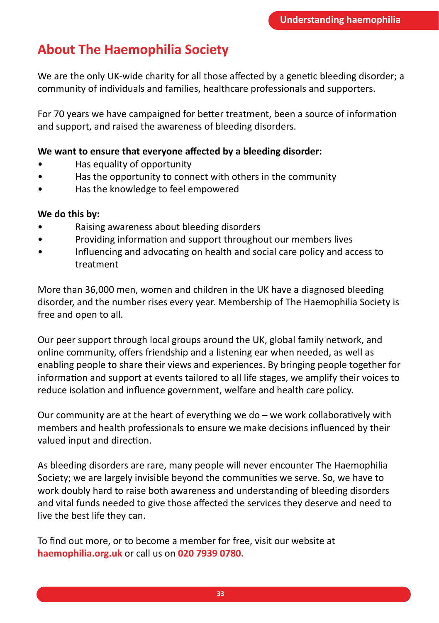## **About The Haemophilia Society**

We are the only UK-wide charity for all those affected by a genetic bleeding disorder; a community of individuals and families, healthcare professionals and supporters.

For 70 years we have campaigned for better treatment, been a source of information and support, and raised the awareness of bleeding disorders.

#### **We want to ensure that everyone affected by a bleeding disorder:**

- Has equality of opportunity
- Has the opportunity to connect with others in the community
- Has the knowledge to feel empowered

#### **We do this by:**

- Raising awareness about bleeding disorders
- Providing information and support throughout our members lives
- Influencing and advocating on health and social care policy and access to treatment

More than 36,000 men, women and children in the UK have a diagnosed bleeding disorder, and the number rises every year. Membership of The Haemophilia Society is free and open to all.

Our peer support through local groups around the UK, global family network, and online community, offers friendship and a listening ear when needed, as well as enabling people to share their views and experiences. By bringing people together for information and support at events tailored to all life stages, we amplify their voices to reduce isolation and influence government, welfare and health care policy.

Our community are at the heart of everything we do – we work collaboratively with members and health professionals to ensure we make decisions influenced by their valued input and direction.

As bleeding disorders are rare, many people will never encounter The Haemophilia Society; we are largely invisible beyond the communities we serve. So, we have to work doubly hard to raise both awareness and understanding of bleeding disorders and vital funds needed to give those affected the services they deserve and need to live the best life they can.

To find out more, or to become a member for free, visit our website at **haemophilia.org.uk** or call us on **020 7939 0780.**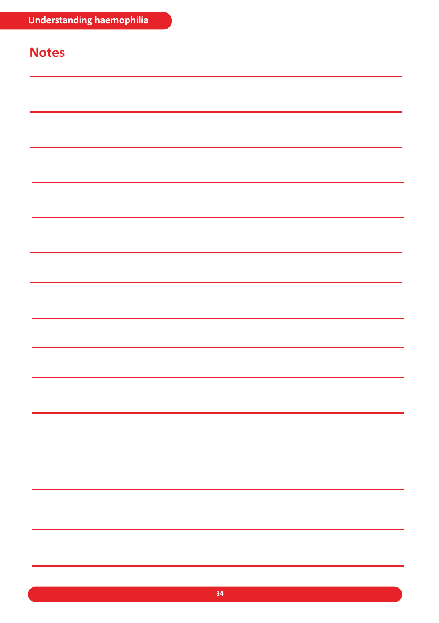## **Notes**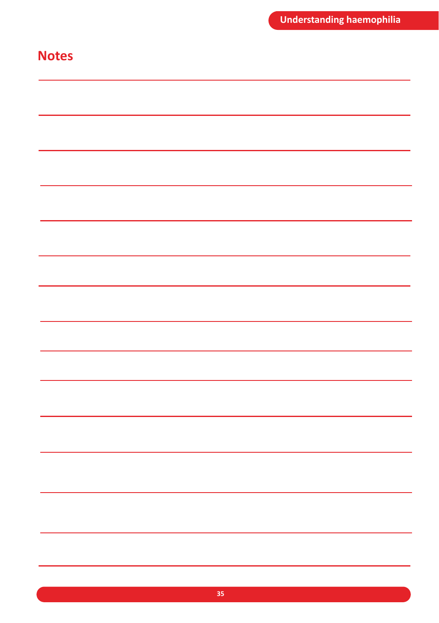## **Notes**